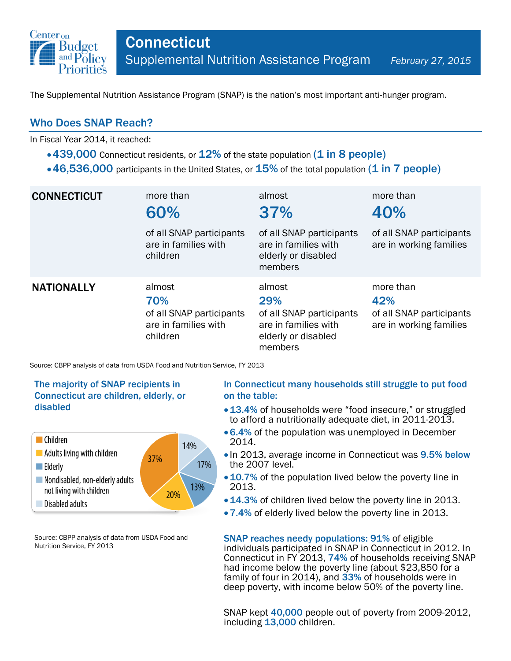

The Supplemental Nutrition Assistance Program (SNAP) is the nation's most important anti-hunger program.

## Who Does SNAP Reach?

In Fiscal Year 2014, it reached:

- $\cdot$  439,000 Connecticut residents, or  $12\%$  of the state population (1 in 8 people)
- $\cdot$  46,536,000 participants in the United States, or  $15\%$  of the total population (1 in 7 people)

| <b>CONNECTICUT</b> | more than<br>60%<br>of all SNAP participants<br>are in families with<br>children | almost<br>37%<br>of all SNAP participants<br>are in families with<br>elderly or disabled<br>members | more than<br>40%<br>of all SNAP participants<br>are in working families |
|--------------------|----------------------------------------------------------------------------------|-----------------------------------------------------------------------------------------------------|-------------------------------------------------------------------------|
| <b>NATIONALLY</b>  | almost<br>70%<br>of all SNAP participants<br>are in families with<br>children    | almost<br>29%<br>of all SNAP participants<br>are in families with<br>elderly or disabled<br>members | more than<br>42%<br>of all SNAP participants<br>are in working families |

Source: CBPP analysis of data from USDA Food and Nutrition Service, FY 2013

### The majority of SNAP recipients in Connecticut are children, elderly, or disabled



Source: CBPP analysis of data from USDA Food and Nutrition Service, FY 2013

#### In Connecticut many households still struggle to put food on the table:

- 13.4% of households were "food insecure," or struggled to afford a nutritionally adequate diet, in 2011-2013.
- 6.4% of the population was unemployed in December 2014.
- In 2013, average income in Connecticut was 9.5% below the 2007 level.
- 10.7% of the population lived below the poverty line in 2013.
- 14.3% of children lived below the poverty line in 2013.
- 7.4% of elderly lived below the poverty line in 2013.

SNAP reaches needy populations: 91% of eligible individuals participated in SNAP in Connecticut in 2012. In Connecticut in FY 2013, 74% of households receiving SNAP had income below the poverty line (about \$23,850 for a family of four in 2014), and 33% of households were in deep poverty, with income below 50% of the poverty line.

SNAP kept 40,000 people out of poverty from 2009-2012, including 13,000 children.